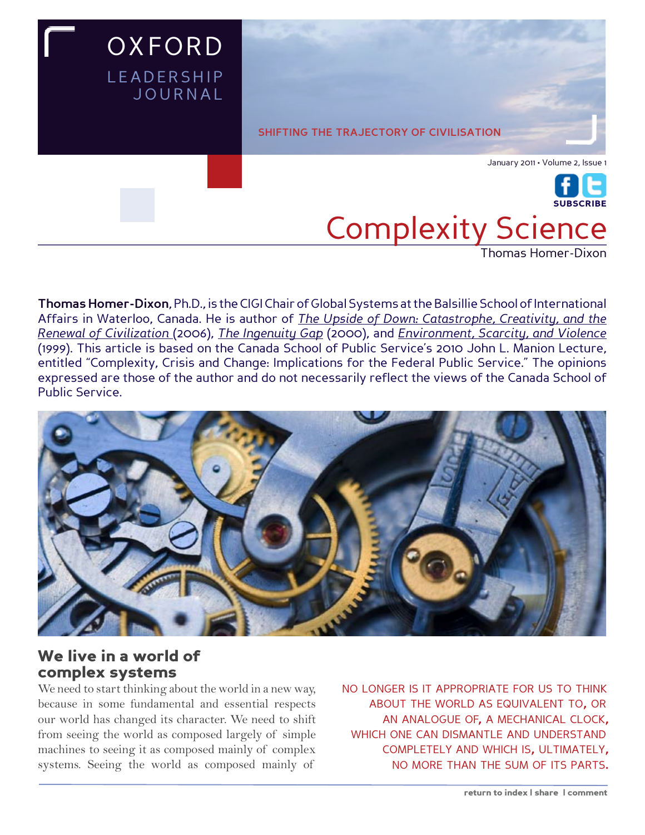

**Thomas Homer-Dixon**, Ph.D., is the CIGI Chair of Global Systems at the Balsillie School of International Affairs in Waterloo, Canada. He is author of *The Upside of Down: Catastrophe, Creativity, and the Renewal of Civilization* (2006), *The Ingenuity Gap* (2000), and *Environment, Scarcity, and Violence*  (1999). This article is based on the Canada School of Public Service's 2010 John L. Manion Lecture, entitled "Complexity, Crisis and Change: Implications for the Federal Public Service." The opinions expressed are those of the author and do not necessarily reflect the views of the Canada School of Public Service.



## We live in a world of complex systems

We need to start thinking about the world in a new way, because in some fundamental and essential respects our world has changed its character. We need to shift from seeing the world as composed largely of simple machines to seeing it as composed mainly of complex systems. Seeing the world as composed mainly of

no longer is it appropriate for us to think about the world as equivalent to, or an analogue of, a mechanical clock, which one can dismantle and understand completely and which is, ultimately, no more than the sum of its parts.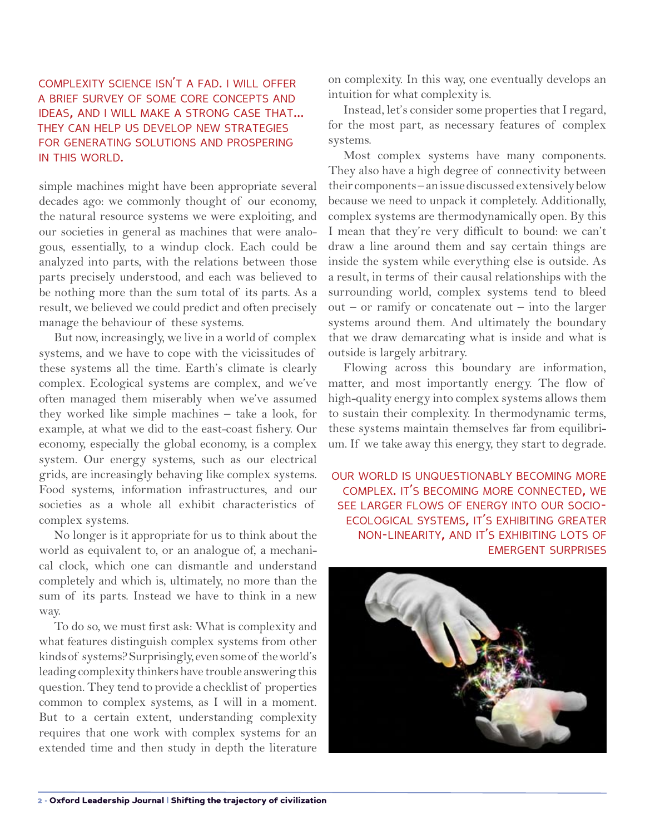## complexity science isn't <sup>a</sup> fad. i will offer a brief survey of some core concepts and ideas, and <sup>i</sup> will make <sup>a</sup> strong case that... they can help us develop new strategies for generating solutions and prospering IN THIS WORLD.

simple machines might have been appropriate several decades ago: we commonly thought of our economy, the natural resource systems we were exploiting, and our societies in general as machines that were analogous, essentially, to a windup clock. Each could be analyzed into parts, with the relations between those parts precisely understood, and each was believed to be nothing more than the sum total of its parts. As a result, we believed we could predict and often precisely manage the behaviour of these systems.

But now, increasingly, we live in a world of complex systems, and we have to cope with the vicissitudes of these systems all the time. Earth's climate is clearly complex. Ecological systems are complex, and we've often managed them miserably when we've assumed they worked like simple machines – take a look, for example, at what we did to the east-coast fishery. Our economy, especially the global economy, is a complex system. Our energy systems, such as our electrical grids, are increasingly behaving like complex systems. Food systems, information infrastructures, and our societies as a whole all exhibit characteristics of complex systems.

No longer is it appropriate for us to think about the world as equivalent to, or an analogue of, a mechanical clock, which one can dismantle and understand completely and which is, ultimately, no more than the sum of its parts. Instead we have to think in a new way.

To do so, we must first ask: What is complexity and what features distinguish complex systems from other kinds of systems? Surprisingly, even some of the world's leading complexity thinkers have trouble answering this question. They tend to provide a checklist of properties common to complex systems, as I will in a moment. But to a certain extent, understanding complexity requires that one work with complex systems for an extended time and then study in depth the literature on complexity. In this way, one eventually develops an intuition for what complexity is.

Instead, let's consider some properties that I regard, for the most part, as necessary features of complex systems.

Most complex systems have many components. They also have a high degree of connectivity between their components – an issue discussed extensively below because we need to unpack it completely. Additionally, complex systems are thermodynamically open. By this I mean that they're very difficult to bound: we can't draw a line around them and say certain things are inside the system while everything else is outside. As a result, in terms of their causal relationships with the surrounding world, complex systems tend to bleed  $out - or ramify$  or concatenate out – into the larger systems around them. And ultimately the boundary that we draw demarcating what is inside and what is outside is largely arbitrary.

Flowing across this boundary are information, matter, and most importantly energy. The flow of high-quality energy into complex systems allows them to sustain their complexity. In thermodynamic terms, these systems maintain themselves far from equilibrium. If we take away this energy, they start to degrade.

our world is unquestionably becoming more complex. it's becoming more connected, we see larger flows of energy into our socio ecological systems, it's exhibiting greater non-linearity, and it's exhibiting lots of emergent surprises

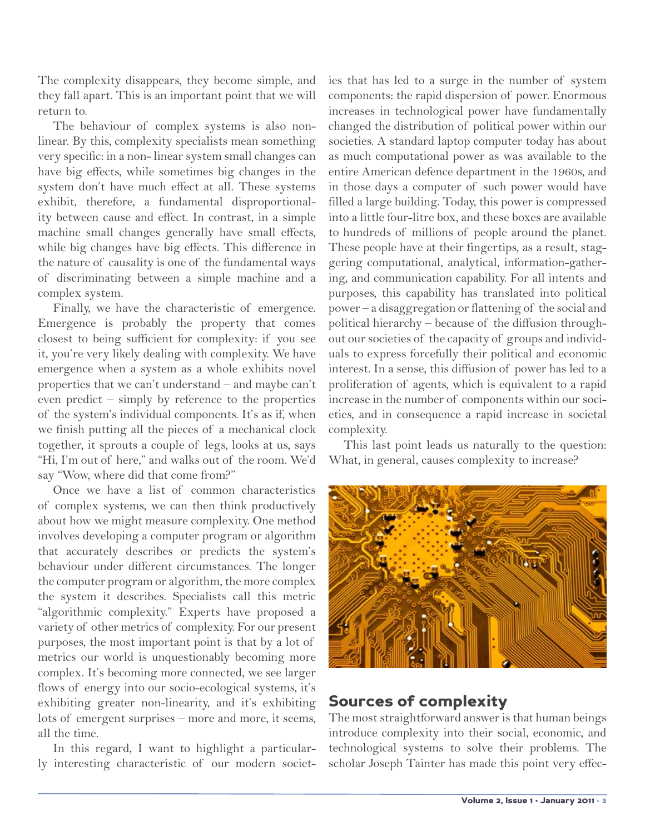The complexity disappears, they become simple, and they fall apart. This is an important point that we will return to.

The behaviour of complex systems is also nonlinear. By this, complexity specialists mean something very specific: in a non- linear system small changes can have big effects, while sometimes big changes in the system don't have much effect at all. These systems exhibit, therefore, a fundamental disproportionality between cause and effect. In contrast, in a simple machine small changes generally have small effects, while big changes have big effects. This difference in the nature of causality is one of the fundamental ways of discriminating between a simple machine and a complex system.

Finally, we have the characteristic of emergence. Emergence is probably the property that comes closest to being sufficient for complexity: if you see it, you're very likely dealing with complexity. We have emergence when a system as a whole exhibits novel properties that we can't understand – and maybe can't even predict – simply by reference to the properties of the system's individual components. It's as if, when we finish putting all the pieces of a mechanical clock together, it sprouts a couple of legs, looks at us, says "Hi, I'm out of here," and walks out of the room. We'd say "Wow, where did that come from?"

Once we have a list of common characteristics of complex systems, we can then think productively about how we might measure complexity. One method involves developing a computer program or algorithm that accurately describes or predicts the system's behaviour under different circumstances. The longer the computer program or algorithm, the more complex the system it describes. Specialists call this metric "algorithmic complexity." Experts have proposed a variety of other metrics of complexity. For our present purposes, the most important point is that by a lot of metrics our world is unquestionably becoming more complex. It's becoming more connected, we see larger flows of energy into our socio-ecological systems, it's exhibiting greater non-linearity, and it's exhibiting lots of emergent surprises – more and more, it seems, all the time.

In this regard, I want to highlight a particularly interesting characteristic of our modern societies that has led to a surge in the number of system components: the rapid dispersion of power. Enormous increases in technological power have fundamentally changed the distribution of political power within our societies. A standard laptop computer today has about as much computational power as was available to the entire American defence department in the 1960s, and in those days a computer of such power would have filled a large building. Today, this power is compressed into a little four-litre box, and these boxes are available to hundreds of millions of people around the planet. These people have at their fingertips, as a result, staggering computational, analytical, information-gathering, and communication capability. For all intents and purposes, this capability has translated into political power – a disaggregation or flattening of the social and political hierarchy – because of the diffusion throughout our societies of the capacity of groups and individuals to express forcefully their political and economic interest. In a sense, this diffusion of power has led to a proliferation of agents, which is equivalent to a rapid increase in the number of components within our societies, and in consequence a rapid increase in societal complexity.

This last point leads us naturally to the question: What, in general, causes complexity to increase?



# Sources of complexity

The most straightforward answer is that human beings introduce complexity into their social, economic, and technological systems to solve their problems. The scholar Joseph Tainter has made this point very effec-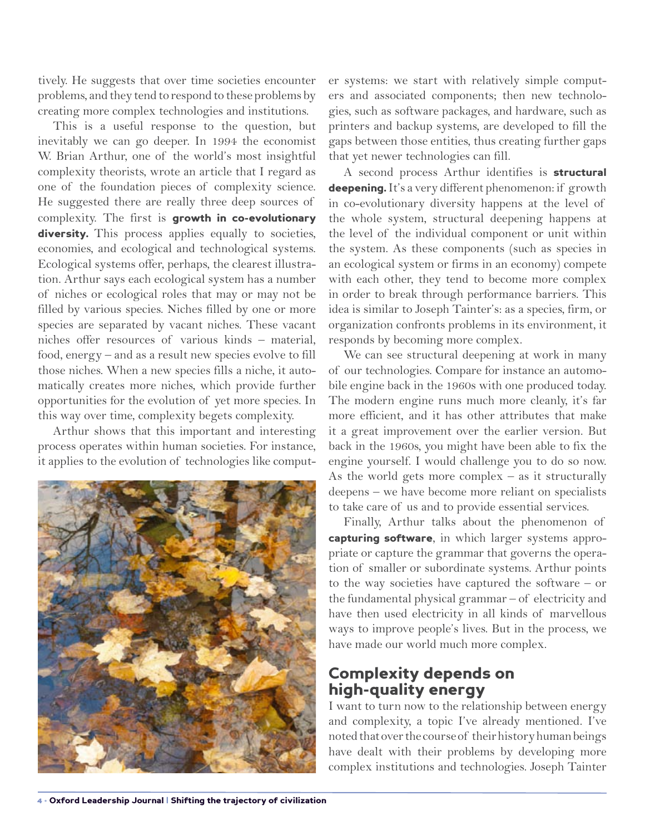tively. He suggests that over time societies encounter problems, and they tend to respond to these problems by creating more complex technologies and institutions.

This is a useful response to the question, but inevitably we can go deeper. In 1994 the economist W. Brian Arthur, one of the world's most insightful complexity theorists, wrote an article that I regard as one of the foundation pieces of complexity science. He suggested there are really three deep sources of complexity. The first is growth in co-evolutionary diversity. This process applies equally to societies, economies, and ecological and technological systems. Ecological systems offer, perhaps, the clearest illustration. Arthur says each ecological system has a number of niches or ecological roles that may or may not be filled by various species. Niches filled by one or more species are separated by vacant niches. These vacant niches offer resources of various kinds – material, food, energy – and as a result new species evolve to fill those niches. When a new species fills a niche, it automatically creates more niches, which provide further opportunities for the evolution of yet more species. In this way over time, complexity begets complexity.

Arthur shows that this important and interesting process operates within human societies. For instance, it applies to the evolution of technologies like comput-



er systems: we start with relatively simple computers and associated components; then new technologies, such as software packages, and hardware, such as printers and backup systems, are developed to fill the gaps between those entities, thus creating further gaps that yet newer technologies can fill.

A second process Arthur identifies is structural deepening. It's a very different phenomenon: if growth in co-evolutionary diversity happens at the level of the whole system, structural deepening happens at the level of the individual component or unit within the system. As these components (such as species in an ecological system or firms in an economy) compete with each other, they tend to become more complex in order to break through performance barriers. This idea is similar to Joseph Tainter's: as a species, firm, or organization confronts problems in its environment, it responds by becoming more complex.

We can see structural deepening at work in many of our technologies. Compare for instance an automobile engine back in the 1960s with one produced today. The modern engine runs much more cleanly, it's far more efficient, and it has other attributes that make it a great improvement over the earlier version. But back in the 1960s, you might have been able to fix the engine yourself. I would challenge you to do so now. As the world gets more complex – as it structurally deepens – we have become more reliant on specialists to take care of us and to provide essential services.

Finally, Arthur talks about the phenomenon of capturing software, in which larger systems appropriate or capture the grammar that governs the operation of smaller or subordinate systems. Arthur points to the way societies have captured the software – or the fundamental physical grammar – of electricity and have then used electricity in all kinds of marvellous ways to improve people's lives. But in the process, we have made our world much more complex.

#### Complexity depends on high-quality energy

I want to turn now to the relationship between energy and complexity, a topic I've already mentioned. I've noted that over the course of their history human beings have dealt with their problems by developing more complex institutions and technologies. Joseph Tainter

4 • Oxford Leadership Journal | Shifting the trajectory of civilization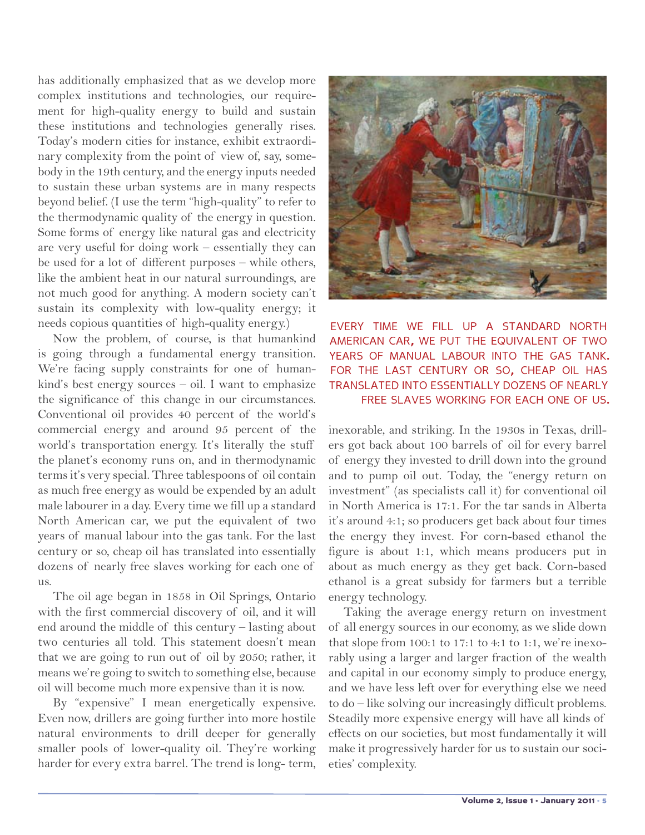has additionally emphasized that as we develop more complex institutions and technologies, our requirement for high-quality energy to build and sustain these institutions and technologies generally rises. Today's modern cities for instance, exhibit extraordinary complexity from the point of view of, say, somebody in the 19th century, and the energy inputs needed to sustain these urban systems are in many respects beyond belief. (I use the term "high-quality" to refer to the thermodynamic quality of the energy in question. Some forms of energy like natural gas and electricity are very useful for doing work – essentially they can be used for a lot of different purposes – while others, like the ambient heat in our natural surroundings, are not much good for anything. A modern society can't sustain its complexity with low-quality energy; it needs copious quantities of high-quality energy.)

Now the problem, of course, is that humankind is going through a fundamental energy transition. We're facing supply constraints for one of humankind's best energy sources – oil. I want to emphasize the significance of this change in our circumstances. Conventional oil provides 40 percent of the world's commercial energy and around 95 percent of the world's transportation energy. It's literally the stuff the planet's economy runs on, and in thermodynamic terms it's very special. Three tablespoons of oil contain as much free energy as would be expended by an adult male labourer in a day. Every time we fill up a standard North American car, we put the equivalent of two years of manual labour into the gas tank. For the last century or so, cheap oil has translated into essentially dozens of nearly free slaves working for each one of us.

The oil age began in 1858 in Oil Springs, Ontario with the first commercial discovery of oil, and it will end around the middle of this century – lasting about two centuries all told. This statement doesn't mean that we are going to run out of oil by 2050; rather, it means we're going to switch to something else, because oil will become much more expensive than it is now.

By "expensive" I mean energetically expensive. Even now, drillers are going further into more hostile natural environments to drill deeper for generally smaller pools of lower-quality oil. They're working harder for every extra barrel. The trend is long- term,



every time we fill up a standard north american car, we put the equivalent of two years of manual labour into the gas tank. for the last century or so, cheap oil has translated into essentially dozens of nearly free slaves working for each one of us.

inexorable, and striking. In the 1930s in Texas, drillers got back about 100 barrels of oil for every barrel of energy they invested to drill down into the ground and to pump oil out. Today, the "energy return on investment" (as specialists call it) for conventional oil in North America is 17:1. For the tar sands in Alberta it's around 4:1; so producers get back about four times the energy they invest. For corn-based ethanol the figure is about 1:1, which means producers put in about as much energy as they get back. Corn-based ethanol is a great subsidy for farmers but a terrible energy technology.

Taking the average energy return on investment of all energy sources in our economy, as we slide down that slope from 100:1 to 17:1 to 4:1 to 1:1, we're inexorably using a larger and larger fraction of the wealth and capital in our economy simply to produce energy, and we have less left over for everything else we need to do – like solving our increasingly difficult problems. Steadily more expensive energy will have all kinds of effects on our societies, but most fundamentally it will make it progressively harder for us to sustain our societies' complexity.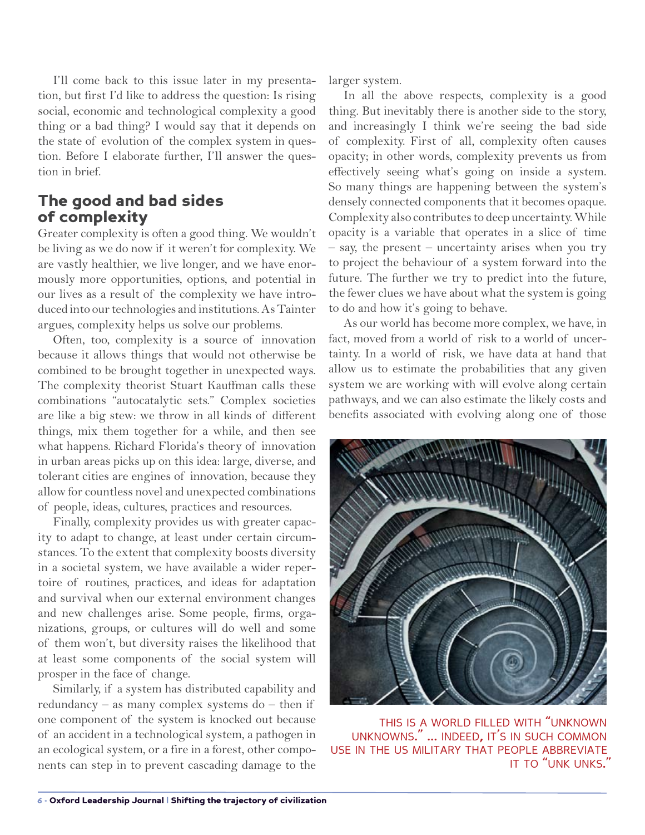I'll come back to this issue later in my presentation, but first I'd like to address the question: Is rising social, economic and technological complexity a good thing or a bad thing? I would say that it depends on the state of evolution of the complex system in question. Before I elaborate further, I'll answer the question in brief.

#### The good and bad sides of complexity

Greater complexity is often a good thing. We wouldn't be living as we do now if it weren't for complexity. We are vastly healthier, we live longer, and we have enormously more opportunities, options, and potential in our lives as a result of the complexity we have introduced into our technologies and institutions. As Tainter argues, complexity helps us solve our problems.

Often, too, complexity is a source of innovation because it allows things that would not otherwise be combined to be brought together in unexpected ways. The complexity theorist Stuart Kauffman calls these combinations "autocatalytic sets." Complex societies are like a big stew: we throw in all kinds of different things, mix them together for a while, and then see what happens. Richard Florida's theory of innovation in urban areas picks up on this idea: large, diverse, and tolerant cities are engines of innovation, because they allow for countless novel and unexpected combinations of people, ideas, cultures, practices and resources.

Finally, complexity provides us with greater capacity to adapt to change, at least under certain circumstances. To the extent that complexity boosts diversity in a societal system, we have available a wider repertoire of routines, practices, and ideas for adaptation and survival when our external environment changes and new challenges arise. Some people, firms, organizations, groups, or cultures will do well and some of them won't, but diversity raises the likelihood that at least some components of the social system will prosper in the face of change.

Similarly, if a system has distributed capability and redundancy – as many complex systems do – then if one component of the system is knocked out because of an accident in a technological system, a pathogen in an ecological system, or a fire in a forest, other components can step in to prevent cascading damage to the larger system.

In all the above respects, complexity is a good thing. But inevitably there is another side to the story, and increasingly I think we're seeing the bad side of complexity. First of all, complexity often causes opacity; in other words, complexity prevents us from effectively seeing what's going on inside a system. So many things are happening between the system's densely connected components that it becomes opaque. Complexity also contributes to deep uncertainty. While opacity is a variable that operates in a slice of time – say, the present – uncertainty arises when you try to project the behaviour of a system forward into the future. The further we try to predict into the future, the fewer clues we have about what the system is going to do and how it's going to behave.

As our world has become more complex, we have, in fact, moved from a world of risk to a world of uncertainty. In a world of risk, we have data at hand that allow us to estimate the probabilities that any given system we are working with will evolve along certain pathways, and we can also estimate the likely costs and benefits associated with evolving along one of those



this is <sup>a</sup> world filled with "unknown unknowns." ... indeed, it's in such common use in the us military that people abbreviate it to "unk unks."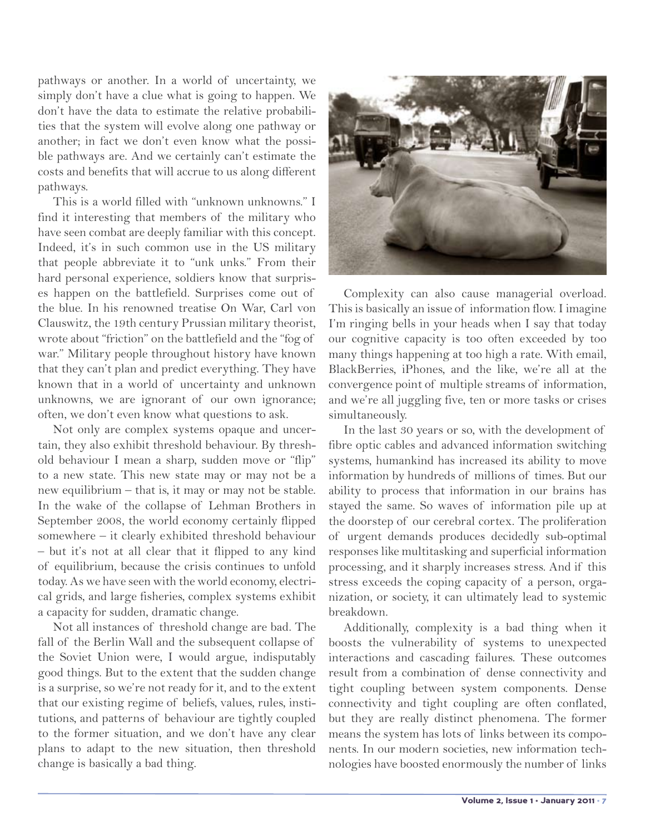pathways or another. In a world of uncertainty, we simply don't have a clue what is going to happen. We don't have the data to estimate the relative probabilities that the system will evolve along one pathway or another; in fact we don't even know what the possible pathways are. And we certainly can't estimate the costs and benefits that will accrue to us along different pathways.

This is a world filled with "unknown unknowns." I find it interesting that members of the military who have seen combat are deeply familiar with this concept. Indeed, it's in such common use in the US military that people abbreviate it to "unk unks." From their hard personal experience, soldiers know that surprises happen on the battlefield. Surprises come out of the blue. In his renowned treatise On War, Carl von Clauswitz, the 19th century Prussian military theorist, wrote about "friction" on the battlefield and the "fog of war." Military people throughout history have known that they can't plan and predict everything. They have known that in a world of uncertainty and unknown unknowns, we are ignorant of our own ignorance; often, we don't even know what questions to ask.

Not only are complex systems opaque and uncertain, they also exhibit threshold behaviour. By threshold behaviour I mean a sharp, sudden move or "flip" to a new state. This new state may or may not be a new equilibrium – that is, it may or may not be stable. In the wake of the collapse of Lehman Brothers in September 2008, the world economy certainly flipped somewhere – it clearly exhibited threshold behaviour – but it's not at all clear that it flipped to any kind of equilibrium, because the crisis continues to unfold today. As we have seen with the world economy, electrical grids, and large fisheries, complex systems exhibit a capacity for sudden, dramatic change.

Not all instances of threshold change are bad. The fall of the Berlin Wall and the subsequent collapse of the Soviet Union were, I would argue, indisputably good things. But to the extent that the sudden change is a surprise, so we're not ready for it, and to the extent that our existing regime of beliefs, values, rules, institutions, and patterns of behaviour are tightly coupled to the former situation, and we don't have any clear plans to adapt to the new situation, then threshold change is basically a bad thing.



Complexity can also cause managerial overload. This is basically an issue of information flow. I imagine I'm ringing bells in your heads when I say that today our cognitive capacity is too often exceeded by too many things happening at too high a rate. With email, BlackBerries, iPhones, and the like, we're all at the convergence point of multiple streams of information, and we're all juggling five, ten or more tasks or crises simultaneously.

In the last 30 years or so, with the development of fibre optic cables and advanced information switching systems, humankind has increased its ability to move information by hundreds of millions of times. But our ability to process that information in our brains has stayed the same. So waves of information pile up at the doorstep of our cerebral cortex. The proliferation of urgent demands produces decidedly sub-optimal responses like multitasking and superficial information processing, and it sharply increases stress. And if this stress exceeds the coping capacity of a person, organization, or society, it can ultimately lead to systemic breakdown.

Additionally, complexity is a bad thing when it boosts the vulnerability of systems to unexpected interactions and cascading failures. These outcomes result from a combination of dense connectivity and tight coupling between system components. Dense connectivity and tight coupling are often conflated, but they are really distinct phenomena. The former means the system has lots of links between its components. In our modern societies, new information technologies have boosted enormously the number of links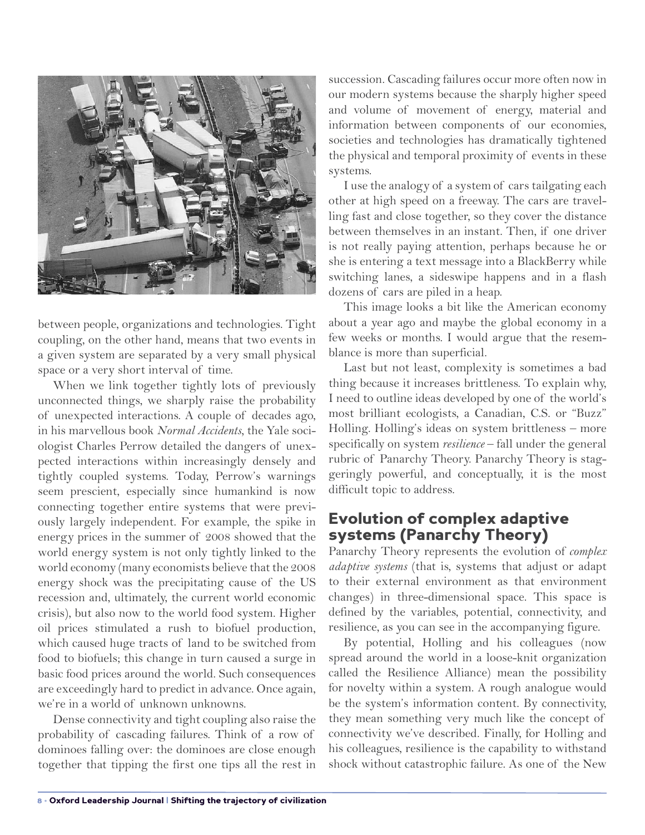

between people, organizations and technologies. Tight coupling, on the other hand, means that two events in a given system are separated by a very small physical space or a very short interval of time.

When we link together tightly lots of previously unconnected things, we sharply raise the probability of unexpected interactions. A couple of decades ago, in his marvellous book *Normal Accidents,* the Yale sociologist Charles Perrow detailed the dangers of unexpected interactions within increasingly densely and tightly coupled systems. Today, Perrow's warnings seem prescient, especially since humankind is now connecting together entire systems that were previously largely independent. For example, the spike in energy prices in the summer of 2008 showed that the world energy system is not only tightly linked to the world economy (many economists believe that the 2008 energy shock was the precipitating cause of the US recession and, ultimately, the current world economic crisis), but also now to the world food system. Higher oil prices stimulated a rush to biofuel production, which caused huge tracts of land to be switched from food to biofuels; this change in turn caused a surge in basic food prices around the world. Such consequences are exceedingly hard to predict in advance. Once again, we're in a world of unknown unknowns.

Dense connectivity and tight coupling also raise the probability of cascading failures. Think of a row of dominoes falling over: the dominoes are close enough together that tipping the first one tips all the rest in succession. Cascading failures occur more often now in our modern systems because the sharply higher speed and volume of movement of energy, material and information between components of our economies, societies and technologies has dramatically tightened the physical and temporal proximity of events in these systems.

I use the analogy of a system of cars tailgating each other at high speed on a freeway. The cars are travelling fast and close together, so they cover the distance between themselves in an instant. Then, if one driver is not really paying attention, perhaps because he or she is entering a text message into a BlackBerry while switching lanes, a sideswipe happens and in a flash dozens of cars are piled in a heap.

This image looks a bit like the American economy about a year ago and maybe the global economy in a few weeks or months. I would argue that the resemblance is more than superficial.

Last but not least, complexity is sometimes a bad thing because it increases brittleness. To explain why, I need to outline ideas developed by one of the world's most brilliant ecologists, a Canadian, C.S. or "Buzz" Holling. Holling's ideas on system brittleness – more specifically on system *resilience* – fall under the general rubric of Panarchy Theory. Panarchy Theory is staggeringly powerful, and conceptually, it is the most difficult topic to address.

## Evolution of complex adaptive systems (Panarchy Theory)

Panarchy Theory represents the evolution of *complex adaptive systems* (that is, systems that adjust or adapt to their external environment as that environment changes) in three-dimensional space. This space is defined by the variables, potential, connectivity, and resilience, as you can see in the accompanying figure.

By potential, Holling and his colleagues (now spread around the world in a loose-knit organization called the Resilience Alliance) mean the possibility for novelty within a system. A rough analogue would be the system's information content. By connectivity, they mean something very much like the concept of connectivity we've described. Finally, for Holling and his colleagues, resilience is the capability to withstand shock without catastrophic failure. As one of the New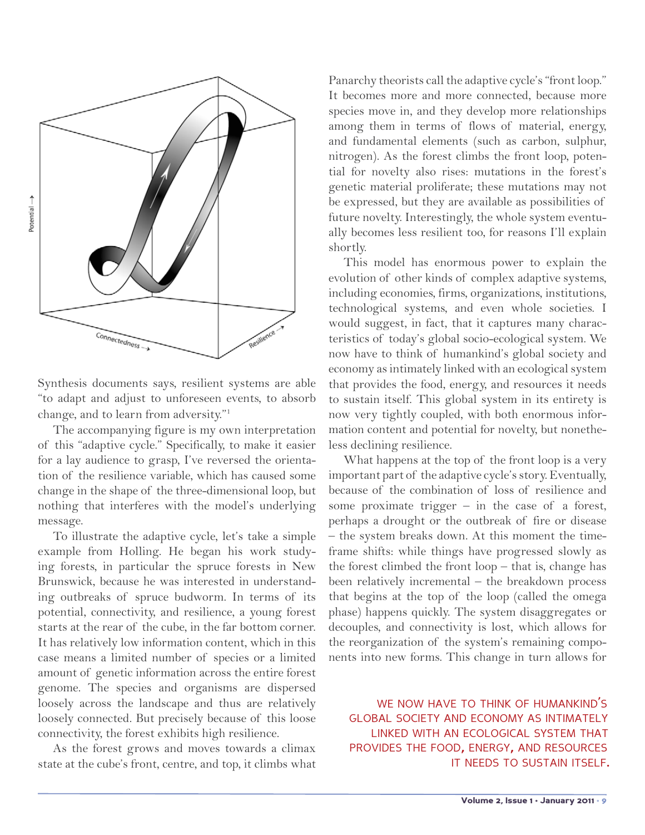

Synthesis documents says, resilient systems are able "to adapt and adjust to unforeseen events, to absorb change, and to learn from adversity."1

The accompanying figure is my own interpretation of this "adaptive cycle." Specifically, to make it easier for a lay audience to grasp, I've reversed the orientation of the resilience variable, which has caused some change in the shape of the three-dimensional loop, but nothing that interferes with the model's underlying message.

To illustrate the adaptive cycle, let's take a simple example from Holling. He began his work studying forests, in particular the spruce forests in New Brunswick, because he was interested in understanding outbreaks of spruce budworm. In terms of its potential, connectivity, and resilience, a young forest starts at the rear of the cube, in the far bottom corner. It has relatively low information content, which in this case means a limited number of species or a limited amount of genetic information across the entire forest genome. The species and organisms are dispersed loosely across the landscape and thus are relatively loosely connected. But precisely because of this loose connectivity, the forest exhibits high resilience.

As the forest grows and moves towards a climax state at the cube's front, centre, and top, it climbs what Panarchy theorists call the adaptive cycle's "front loop." It becomes more and more connected, because more species move in, and they develop more relationships among them in terms of flows of material, energy, and fundamental elements (such as carbon, sulphur, nitrogen). As the forest climbs the front loop, potential for novelty also rises: mutations in the forest's genetic material proliferate; these mutations may not be expressed, but they are available as possibilities of future novelty. Interestingly, the whole system eventually becomes less resilient too, for reasons I'll explain shortly.

This model has enormous power to explain the evolution of other kinds of complex adaptive systems, including economies, firms, organizations, institutions, technological systems, and even whole societies. I would suggest, in fact, that it captures many characteristics of today's global socio-ecological system. We now have to think of humankind's global society and economy as intimately linked with an ecological system that provides the food, energy, and resources it needs to sustain itself. This global system in its entirety is now very tightly coupled, with both enormous information content and potential for novelty, but nonetheless declining resilience.

What happens at the top of the front loop is a very important part of the adaptive cycle's story. Eventually, because of the combination of loss of resilience and some proximate trigger  $-$  in the case of a forest, perhaps a drought or the outbreak of fire or disease – the system breaks down. At this moment the timeframe shifts: while things have progressed slowly as the forest climbed the front loop – that is, change has been relatively incremental – the breakdown process that begins at the top of the loop (called the omega phase) happens quickly. The system disaggregates or decouples, and connectivity is lost, which allows for the reorganization of the system's remaining components into new forms. This change in turn allows for

WE NOW HAVE TO THINK OF HUMANKIND'S global society and economy as intimately linked with an ecological system that provides the food, energy, and resources it needs to sustain itself.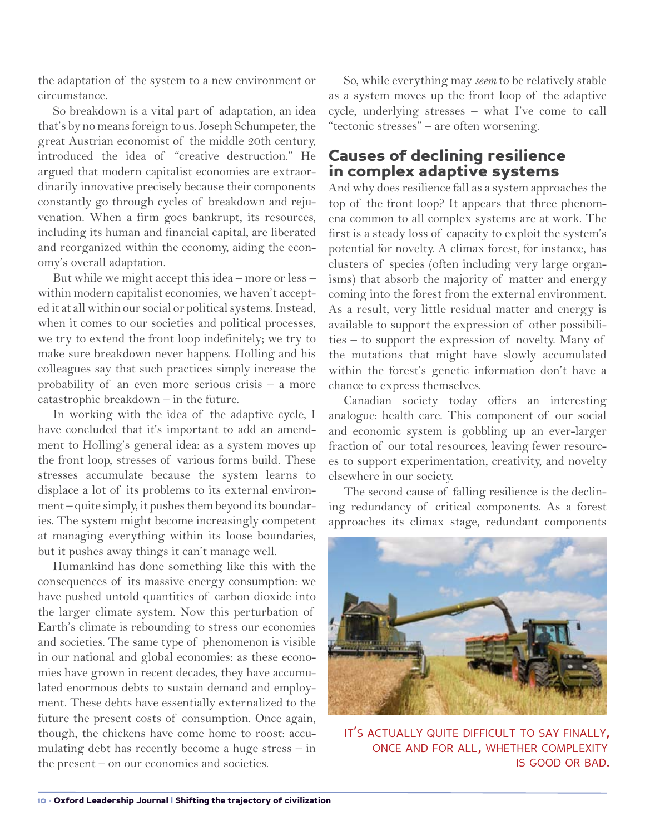the adaptation of the system to a new environment or circumstance.

So breakdown is a vital part of adaptation, an idea that's by no means foreign to us. Joseph Schumpeter, the great Austrian economist of the middle 20th century, introduced the idea of "creative destruction." He argued that modern capitalist economies are extraordinarily innovative precisely because their components constantly go through cycles of breakdown and rejuvenation. When a firm goes bankrupt, its resources, including its human and financial capital, are liberated and reorganized within the economy, aiding the economy's overall adaptation.

But while we might accept this idea – more or less – within modern capitalist economies, we haven't accepted it at all within our social or political systems. Instead, when it comes to our societies and political processes, we try to extend the front loop indefinitely; we try to make sure breakdown never happens. Holling and his colleagues say that such practices simply increase the probability of an even more serious crisis – a more catastrophic breakdown – in the future.

In working with the idea of the adaptive cycle, I have concluded that it's important to add an amendment to Holling's general idea: as a system moves up the front loop, stresses of various forms build. These stresses accumulate because the system learns to displace a lot of its problems to its external environment – quite simply, it pushes them beyond its boundaries. The system might become increasingly competent at managing everything within its loose boundaries, but it pushes away things it can't manage well.

Humankind has done something like this with the consequences of its massive energy consumption: we have pushed untold quantities of carbon dioxide into the larger climate system. Now this perturbation of Earth's climate is rebounding to stress our economies and societies. The same type of phenomenon is visible in our national and global economies: as these economies have grown in recent decades, they have accumulated enormous debts to sustain demand and employment. These debts have essentially externalized to the future the present costs of consumption. Once again, though, the chickens have come home to roost: accumulating debt has recently become a huge stress – in the present – on our economies and societies.

So, while everything may *seem* to be relatively stable as a system moves up the front loop of the adaptive cycle, underlying stresses – what I've come to call "tectonic stresses" – are often worsening.

# Causes of declining resilience in complex adaptive systems

And why does resilience fall as a system approaches the top of the front loop? It appears that three phenomena common to all complex systems are at work. The first is a steady loss of capacity to exploit the system's potential for novelty. A climax forest, for instance, has clusters of species (often including very large organisms) that absorb the majority of matter and energy coming into the forest from the external environment. As a result, very little residual matter and energy is available to support the expression of other possibilities – to support the expression of novelty. Many of the mutations that might have slowly accumulated within the forest's genetic information don't have a chance to express themselves.

Canadian society today offers an interesting analogue: health care. This component of our social and economic system is gobbling up an ever-larger fraction of our total resources, leaving fewer resources to support experimentation, creativity, and novelty elsewhere in our society.

The second cause of falling resilience is the declining redundancy of critical components. As a forest approaches its climax stage, redundant components



it's actually quite difficult to say finally, once and for all, whether complexity is good or bad.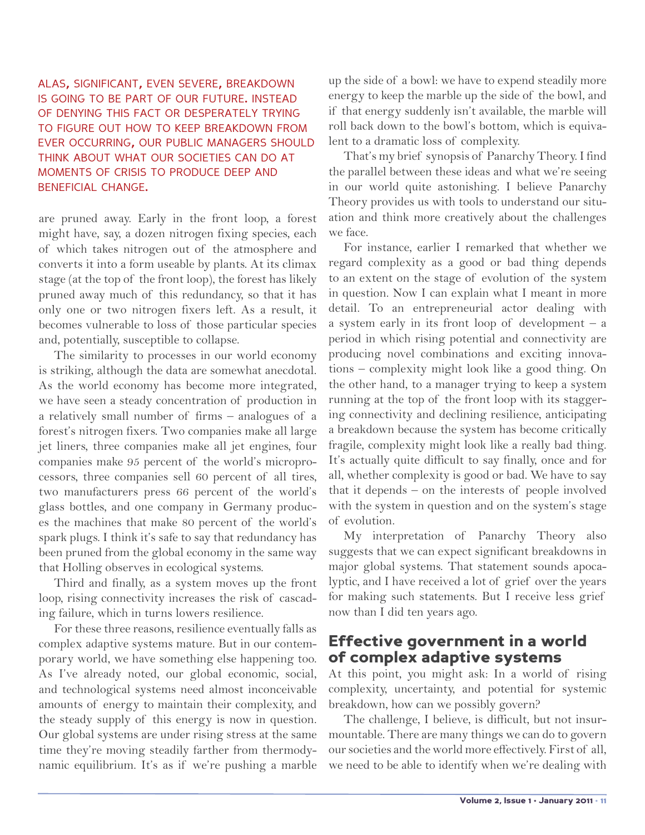#### alas, significant, even severe, breakdown is going to be part of our future. instead of denying this fact or desperately trying to figure out how to keep breakdown from ever occurring, our public managers should think about what our societies can do at moments of crisis to produce deep and beneficial change.

are pruned away. Early in the front loop, a forest might have, say, a dozen nitrogen fixing species, each of which takes nitrogen out of the atmosphere and converts it into a form useable by plants. At its climax stage (at the top of the front loop), the forest has likely pruned away much of this redundancy, so that it has only one or two nitrogen fixers left. As a result, it becomes vulnerable to loss of those particular species and, potentially, susceptible to collapse.

The similarity to processes in our world economy is striking, although the data are somewhat anecdotal. As the world economy has become more integrated, we have seen a steady concentration of production in a relatively small number of firms – analogues of a forest's nitrogen fixers. Two companies make all large jet liners, three companies make all jet engines, four companies make 95 percent of the world's microprocessors, three companies sell 60 percent of all tires, two manufacturers press 66 percent of the world's glass bottles, and one company in Germany produces the machines that make 80 percent of the world's spark plugs. I think it's safe to say that redundancy has been pruned from the global economy in the same way that Holling observes in ecological systems.

Third and finally, as a system moves up the front loop, rising connectivity increases the risk of cascading failure, which in turns lowers resilience.

For these three reasons, resilience eventually falls as complex adaptive systems mature. But in our contemporary world, we have something else happening too. As I've already noted, our global economic, social, and technological systems need almost inconceivable amounts of energy to maintain their complexity, and the steady supply of this energy is now in question. Our global systems are under rising stress at the same time they're moving steadily farther from thermodynamic equilibrium. It's as if we're pushing a marble up the side of a bowl: we have to expend steadily more energy to keep the marble up the side of the bowl, and if that energy suddenly isn't available, the marble will roll back down to the bowl's bottom, which is equivalent to a dramatic loss of complexity.

That's my brief synopsis of Panarchy Theory. I find the parallel between these ideas and what we're seeing in our world quite astonishing. I believe Panarchy Theory provides us with tools to understand our situation and think more creatively about the challenges we face.

For instance, earlier I remarked that whether we regard complexity as a good or bad thing depends to an extent on the stage of evolution of the system in question. Now I can explain what I meant in more detail. To an entrepreneurial actor dealing with a system early in its front loop of development – a period in which rising potential and connectivity are producing novel combinations and exciting innovations – complexity might look like a good thing. On the other hand, to a manager trying to keep a system running at the top of the front loop with its staggering connectivity and declining resilience, anticipating a breakdown because the system has become critically fragile, complexity might look like a really bad thing. It's actually quite difficult to say finally, once and for all, whether complexity is good or bad. We have to say that it depends – on the interests of people involved with the system in question and on the system's stage of evolution.

My interpretation of Panarchy Theory also suggests that we can expect significant breakdowns in major global systems. That statement sounds apocalyptic, and I have received a lot of grief over the years for making such statements. But I receive less grief now than I did ten years ago.

#### Effective government in a world of complex adaptive systems

At this point, you might ask: In a world of rising complexity, uncertainty, and potential for systemic breakdown, how can we possibly govern?

The challenge, I believe, is difficult, but not insurmountable. There are many things we can do to govern our societies and the world more effectively. First of all, we need to be able to identify when we're dealing with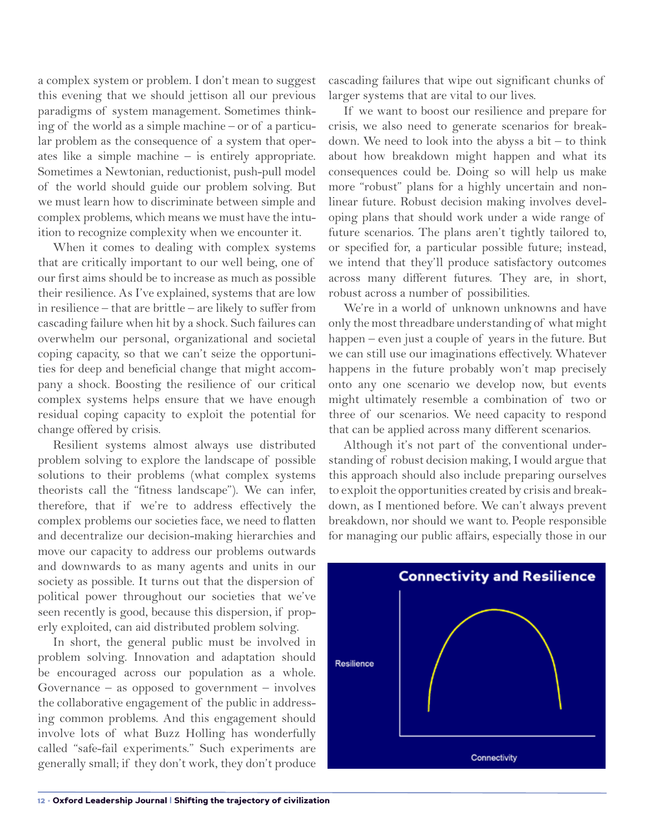a complex system or problem. I don't mean to suggest this evening that we should jettison all our previous paradigms of system management. Sometimes thinking of the world as a simple machine – or of a particular problem as the consequence of a system that operates like a simple machine – is entirely appropriate. Sometimes a Newtonian, reductionist, push-pull model of the world should guide our problem solving. But we must learn how to discriminate between simple and complex problems, which means we must have the intuition to recognize complexity when we encounter it.

When it comes to dealing with complex systems that are critically important to our well being, one of our first aims should be to increase as much as possible their resilience. As I've explained, systems that are low in resilience – that are brittle – are likely to suffer from cascading failure when hit by a shock. Such failures can overwhelm our personal, organizational and societal coping capacity, so that we can't seize the opportunities for deep and beneficial change that might accompany a shock. Boosting the resilience of our critical complex systems helps ensure that we have enough residual coping capacity to exploit the potential for change offered by crisis.

Resilient systems almost always use distributed problem solving to explore the landscape of possible solutions to their problems (what complex systems theorists call the "fitness landscape"). We can infer, therefore, that if we're to address effectively the complex problems our societies face, we need to flatten and decentralize our decision-making hierarchies and move our capacity to address our problems outwards and downwards to as many agents and units in our society as possible. It turns out that the dispersion of political power throughout our societies that we've seen recently is good, because this dispersion, if properly exploited, can aid distributed problem solving.

In short, the general public must be involved in problem solving. Innovation and adaptation should be encouraged across our population as a whole. Governance – as opposed to government – involves the collaborative engagement of the public in addressing common problems. And this engagement should involve lots of what Buzz Holling has wonderfully called "safe-fail experiments." Such experiments are generally small; if they don't work, they don't produce

cascading failures that wipe out significant chunks of larger systems that are vital to our lives.

If we want to boost our resilience and prepare for crisis, we also need to generate scenarios for breakdown. We need to look into the abyss a bit  $-$  to think about how breakdown might happen and what its consequences could be. Doing so will help us make more "robust" plans for a highly uncertain and nonlinear future. Robust decision making involves developing plans that should work under a wide range of future scenarios. The plans aren't tightly tailored to, or specified for, a particular possible future; instead, we intend that they'll produce satisfactory outcomes across many different futures. They are, in short, robust across a number of possibilities.

We're in a world of unknown unknowns and have only the most threadbare understanding of what might happen – even just a couple of years in the future. But we can still use our imaginations effectively. Whatever happens in the future probably won't map precisely onto any one scenario we develop now, but events might ultimately resemble a combination of two or three of our scenarios. We need capacity to respond that can be applied across many different scenarios.

Although it's not part of the conventional understanding of robust decision making, I would argue that this approach should also include preparing ourselves to exploit the opportunities created by crisis and breakdown, as I mentioned before. We can't always prevent breakdown, nor should we want to. People responsible for managing our public affairs, especially those in our

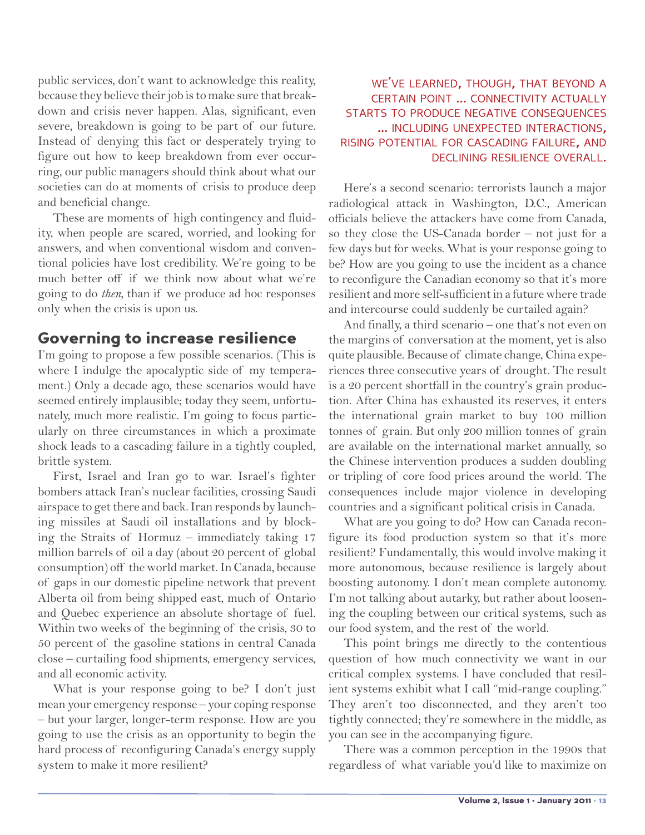public services, don't want to acknowledge this reality, because they believe their job is to make sure that breakdown and crisis never happen. Alas, significant, even severe, breakdown is going to be part of our future. Instead of denying this fact or desperately trying to figure out how to keep breakdown from ever occurring, our public managers should think about what our societies can do at moments of crisis to produce deep and beneficial change.

These are moments of high contingency and fluidity, when people are scared, worried, and looking for answers, and when conventional wisdom and conventional policies have lost credibility. We're going to be much better off if we think now about what we're going to do *then,* than if we produce ad hoc responses only when the crisis is upon us.

## Governing to increase resilience

I'm going to propose a few possible scenarios. (This is where I indulge the apocalyptic side of my temperament.) Only a decade ago, these scenarios would have seemed entirely implausible; today they seem, unfortunately, much more realistic. I'm going to focus particularly on three circumstances in which a proximate shock leads to a cascading failure in a tightly coupled, brittle system.

First, Israel and Iran go to war. Israel's fighter bombers attack Iran's nuclear facilities, crossing Saudi airspace to get there and back. Iran responds by launching missiles at Saudi oil installations and by blocking the Straits of Hormuz – immediately taking 17 million barrels of oil a day (about 20 percent of global consumption) off the world market. In Canada, because of gaps in our domestic pipeline network that prevent Alberta oil from being shipped east, much of Ontario and Quebec experience an absolute shortage of fuel. Within two weeks of the beginning of the crisis, 30 to 50 percent of the gasoline stations in central Canada close – curtailing food shipments, emergency services, and all economic activity.

What is your response going to be? I don't just mean your emergency response – your coping response – but your larger, longer-term response. How are you going to use the crisis as an opportunity to begin the hard process of reconfiguring Canada's energy supply system to make it more resilient?

#### we've learned, though, that beyond <sup>a</sup> certain point ... connectivity actually starts to produce negative consequences ... including unexpected interactions, rising potential for cascading failure, and declining resilience overall.

Here's a second scenario: terrorists launch a major radiological attack in Washington, D.C., American officials believe the attackers have come from Canada, so they close the US-Canada border – not just for a few days but for weeks. What is your response going to be? How are you going to use the incident as a chance to reconfigure the Canadian economy so that it's more resilient and more self-sufficient in a future where trade and intercourse could suddenly be curtailed again?

And finally, a third scenario – one that's not even on the margins of conversation at the moment, yet is also quite plausible. Because of climate change, China experiences three consecutive years of drought. The result is a 20 percent shortfall in the country's grain production. After China has exhausted its reserves, it enters the international grain market to buy 100 million tonnes of grain. But only 200 million tonnes of grain are available on the international market annually, so the Chinese intervention produces a sudden doubling or tripling of core food prices around the world. The consequences include major violence in developing countries and a significant political crisis in Canada.

What are you going to do? How can Canada reconfigure its food production system so that it's more resilient? Fundamentally, this would involve making it more autonomous, because resilience is largely about boosting autonomy. I don't mean complete autonomy. I'm not talking about autarky, but rather about loosening the coupling between our critical systems, such as our food system, and the rest of the world.

This point brings me directly to the contentious question of how much connectivity we want in our critical complex systems. I have concluded that resilient systems exhibit what I call "mid-range coupling." They aren't too disconnected, and they aren't too tightly connected; they're somewhere in the middle, as you can see in the accompanying figure.

There was a common perception in the 1990s that regardless of what variable you'd like to maximize on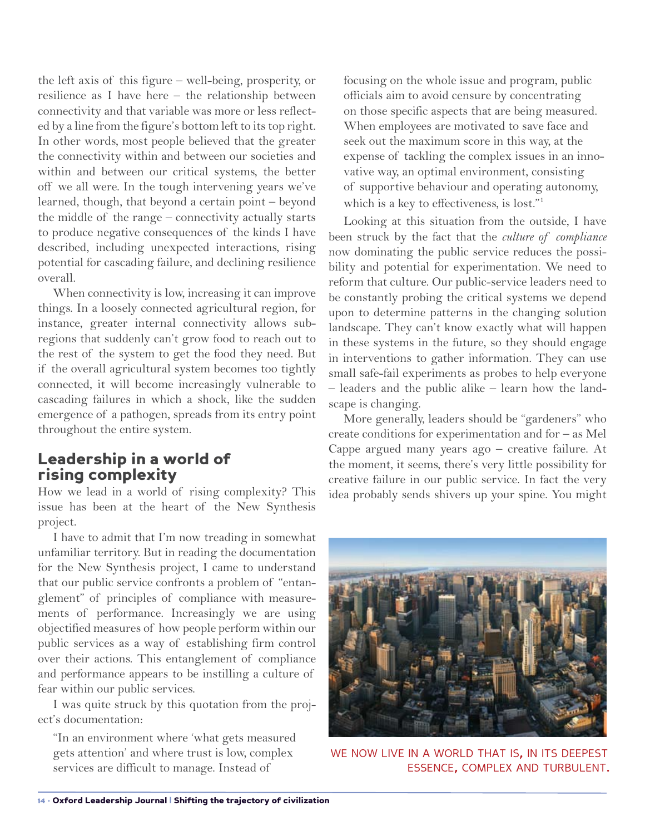the left axis of this figure – well-being, prosperity, or resilience as I have here – the relationship between connectivity and that variable was more or less reflected by a line from the figure's bottom left to its top right. In other words, most people believed that the greater the connectivity within and between our societies and within and between our critical systems, the better off we all were. In the tough intervening years we've learned, though, that beyond a certain point – beyond the middle of the range – connectivity actually starts to produce negative consequences of the kinds I have described, including unexpected interactions, rising potential for cascading failure, and declining resilience overall.

When connectivity is low, increasing it can improve things. In a loosely connected agricultural region, for instance, greater internal connectivity allows subregions that suddenly can't grow food to reach out to the rest of the system to get the food they need. But if the overall agricultural system becomes too tightly connected, it will become increasingly vulnerable to cascading failures in which a shock, like the sudden emergence of a pathogen, spreads from its entry point throughout the entire system.

#### Leadership in a world of rising complexity

How we lead in a world of rising complexity? This issue has been at the heart of the New Synthesis project.

I have to admit that I'm now treading in somewhat unfamiliar territory. But in reading the documentation for the New Synthesis project, I came to understand that our public service confronts a problem of "entanglement" of principles of compliance with measurements of performance. Increasingly we are using objectified measures of how people perform within our public services as a way of establishing firm control over their actions. This entanglement of compliance and performance appears to be instilling a culture of fear within our public services.

I was quite struck by this quotation from the project's documentation:

"In an environment where 'what gets measured gets attention' and where trust is low, complex services are difficult to manage. Instead of

focusing on the whole issue and program, public officials aim to avoid censure by concentrating on those specific aspects that are being measured. When employees are motivated to save face and seek out the maximum score in this way, at the expense of tackling the complex issues in an innovative way, an optimal environment, consisting of supportive behaviour and operating autonomy, which is a key to effectiveness, is lost."1

Looking at this situation from the outside, I have been struck by the fact that the *culture of compliance*  now dominating the public service reduces the possibility and potential for experimentation. We need to reform that culture. Our public-service leaders need to be constantly probing the critical systems we depend upon to determine patterns in the changing solution landscape. They can't know exactly what will happen in these systems in the future, so they should engage in interventions to gather information. They can use small safe-fail experiments as probes to help everyone – leaders and the public alike – learn how the landscape is changing.

More generally, leaders should be "gardeners" who create conditions for experimentation and for – as Mel Cappe argued many years ago – creative failure. At the moment, it seems, there's very little possibility for creative failure in our public service. In fact the very idea probably sends shivers up your spine. You might



we now live in <sup>a</sup> world that is, in its deepest essence, complex and turbulent.